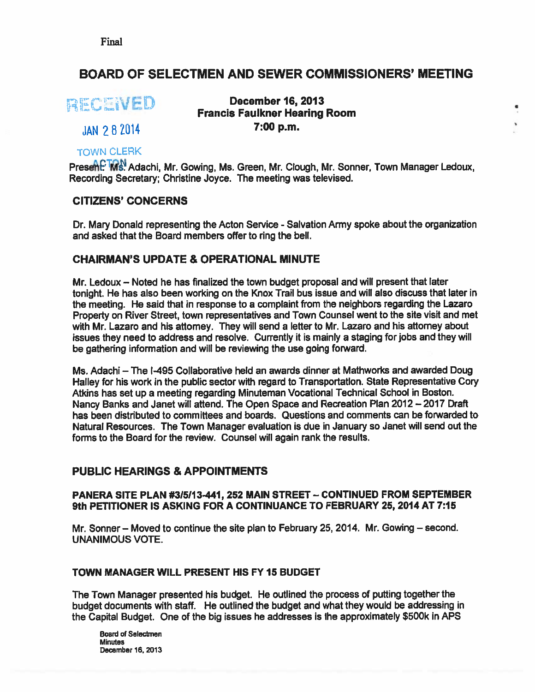Final

# BOARD OF SELECTMEN AND SEWER COMMISSIONERS' MEETING

RECEVED

# December 16, 2013 Francis Faulkner Hearing Room JAN 2 8 2014 7:00 p.m.

# TOWN CLERK

Present: IMS. Adachi, Mr. Gowing, Ms. Green, Mr. Clough, Mr. Sonner, Town Manager Ledoux, Recording Secretary; Christine Joyce. The meeting was televised.

### CITIZENS' CONCERNS

Dr. Mary Donald representing the Acton Service - Salvation Army spoke about the organization and asked that the Board members offer to ring the bell.

# CHAIRMAN'S UPDATE & OPERATIONAL MINUTE

Mr. Ledoux — Noted he has finalized the town budget proposal and will presen<sup>t</sup> that later tonight. He has also been working on the Knox Trail bus issue and will also discuss that later in the meeting. He said that in response to <sup>a</sup> complaint from the neighbors regarding the Lazaro Property on River Street, town representatives and Town Counsel went to the site visit and met with Mr. Lazaro and his attomey. They will send a letter to Mr. Lazaro and his attorney about issues they need to address and resolve. Currently it is mainly <sup>a</sup> staging for jobs and they will be gathering information and will be reviewing the use going forward.

Ms. Adachi — The 1495 Collaborative held an awards dinner at Mathworks and awarded Doug Halley for his work in the public sector with regard to Transportation. State Representative Cory Atkins has set up <sup>a</sup> meeting regarding Minuteman Vocational Technical School in Boston. Nancy Banks and Janet will attend. The Open Space and Recreation Plan 2012—2017 Draft has been distributed to committees and boards. Questions and comments can be forwarded to Natural Resources. The Town Manager evaluation is due in January so Janet will send out the forms to the Board for the review. Counsel will again rank the results.

### PUBLIC HEARINGS & APPOINTMENTS

#### PANERA SITE PLAN #315113-441, 252 MAIN STREET — CONTINUED FROM SEPTEMBER 9th PETITIONER IS ASKING FOR A CONTINUANCE TO FEBRUARY 25, 2014 AT 7:15

Mr. Sonner — Moved to continue the site plan to February 25, 2014. Mr. Gowing — second. UNANIMOUS VOTE.

#### TOWN MANAGER WILL PRESENT HIS FY15 BUDGET

The Town Manager presented his budget. He outlined the process of putting together the budget documents with staff. He outlined the budget and what they would be addressing in the Capital Budget. One of the big issues he addresses is the approximately \$500k in APS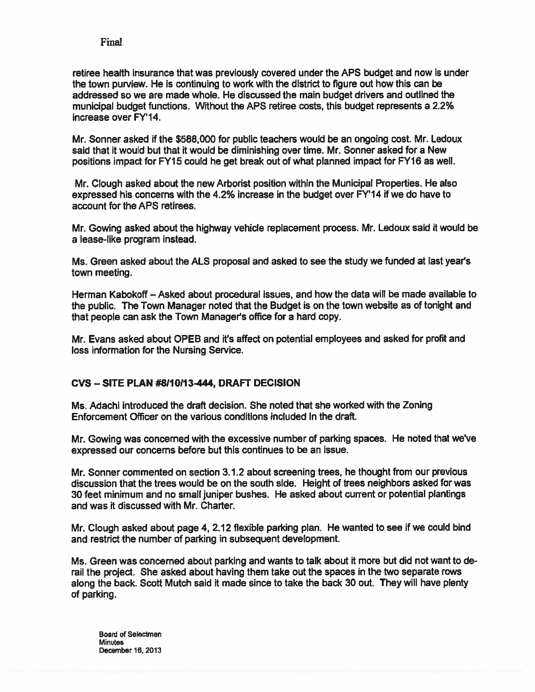#### Final

retiree health insurance that was previously covered under the APS budget and now is under the town purview. He is continuing to work with the district to figure out how this can be addressed so we are made whole. He discussed the main budget drivers and outlined the municipal budget functions. Without the APS retiree costs, this budget represents <sup>a</sup> 2.2% increase over FY'14.

Mr. Sonner asked if the \$588,000 for public teachers would be an ongoing cost. Mr. Ledoux said that it would but that it would be diminishing over time. Mr. Sonner asked for <sup>a</sup> New positions impact for FY15 could he ge<sup>t</sup> break out of what planned impact for FY16 as well.

Mr. Clough asked about the new Arborist position within the Municipal Properties. He also expressed his concerns with the  $4.2\%$  increase in the budget over  $FY'14$  if we do have to account for the APS retirees.

Mr. Gowing asked about the highway vehicle replacement process. Mr. Ledoux said it would be <sup>a</sup> lease-like program instead.

Ms. Green asked about the ALS proposal and asked to see the study we funded at last years town meeting.

Herman Kabokoff — Asked about procedural issues, and how the data will be made available to the public. The Town Manager noted that the Budget is on the town website as of tonight and that people can ask the Town Manager's office for <sup>a</sup> hard copy.

Mr. Evans asked about OPEB and it's affect on potential employees and asked for profit and loss information for the Nursing Service.

#### CVS — SITE PLAN #8110113444, DRAFT DECISION

Ms. Adachi introduced the draft decision. She noted that she worked with the Zoning Enforcement Officer on the various conditions included in the draft.

Mr. Gowing was concerned with the excessive number of parking spaces. He noted that we've expressed our concerns before but this continues to be an issue.

Mr. Sonner commented on section 3.1.2 about screening trees, he thought from our previous discussion that the trees would be on the south side. Height of trees neighbors asked for was 30 feet minimum and no small juniper bushes. He asked about current or potential plantings and was it discussed with Mr. Charter.

Mr. Clough asked about page 4, 2.12 flexible parking <sup>p</sup>lan. He wanted to see if we could bind and restrict the number of parking in subsequent development.

Ms. Green was concerned about parking and wants to talk about it more but did not want to de rail the project. She asked about having them take out the spaces in the two separate rows along the back. Scoff Mutch said it made since to take the back 30 out. They will have plenty of parking.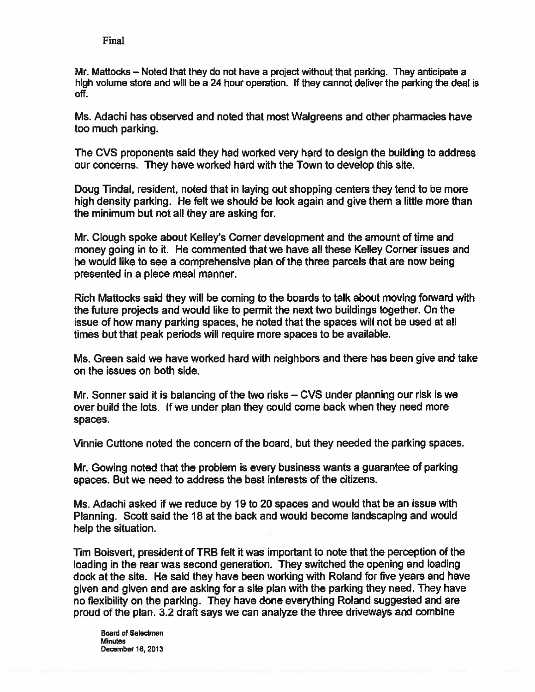Mr. Mattocks — Noted that they do not have <sup>a</sup> project without that parking. They anticipate <sup>a</sup> high volume store and will be <sup>a</sup> 24 hour operation. If they cannot deliver the parking the deal is off.

Ms. Adachi has observed and noted that most Walgreens and other pharmacies have too much parking.

The CVS proponents said they had worked very hard to design the building to address our concerns. They have worked hard with the Town to develop this site.

Doug Tindal, resident, noted that in laying out shopping centers they tend to be more high density parking. He felt we should be look again and give them <sup>a</sup> little more than the minimum but not all they are asking for.

Mr. Clough spoke about Kelley's Corner development and the amount of time and money going in to it. He commented that we have all these Kelley Corner issues and he would like to see <sup>a</sup> comprehensive plan of the three parcels that are now being presented in <sup>a</sup> piece meal manner.

Rich Maftocks said they will be coming to the boards to talk about moving forward with the future projects and would like to permit the next two buildings together. On the issue of how many parking spaces, he noted that the spaces will not be used at all times but that peak periods will require more spaces to be available.

Ms. Green said we have worked hard with neighbors and there has been give and take on the issues on both side.

Mr. Sonner said it is balancing of the two risks — CVS under planning our risk is we over build the lots. If we under plan they could come back when they need more spaces.

Vinnie Cuftone noted the concern of the board, but they needed the parking spaces.

Mr. Gowing noted that the problem is every business wants <sup>a</sup> guarantee of parking spaces. But we need to address the best interests of the citizens.

Ms. Adachi asked if we reduce by 19 to 20 spaces and would that be an issue with Planning. Scott said the 18 at the back and would become landscaping and would help the situation.

Tim Boisvert, president of TRB felt it was important to note that the perception of the loading in the rear was second generation. They switched the opening and loading dock at the site. He said they have been working with Roland for five years and have <sup>g</sup>iven and <sup>g</sup>iven and are asking for <sup>a</sup> site <sup>p</sup>lan with the parking they need. They have no flexibility on the parking. They have done everything Roland suggested and are proud of the <sup>p</sup>lan. 3.2 draft says we can analyze the three driveways and combine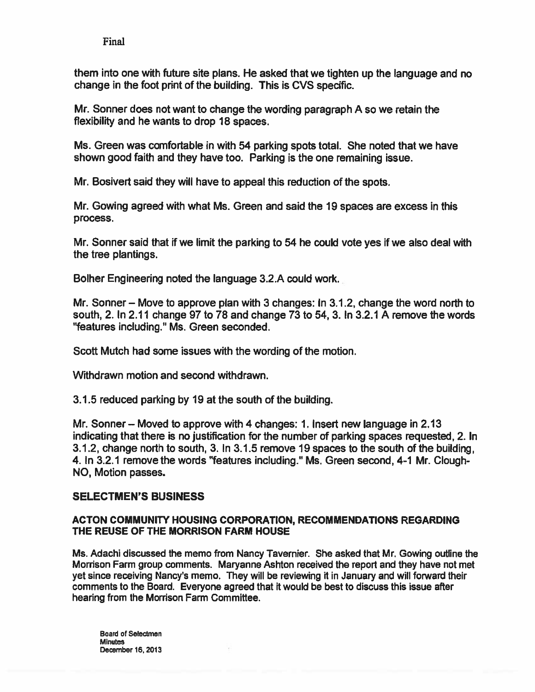Final

them into one with future site plans. He asked that we tighten up the language and no change in the foot print of the building. This is CVS specific.

Mr. Sonner does not want to change the wording paragraph A so we retain the flexibility and he wants to drop 18 spaces.

Ms. Green was comfortable in with 54 parking spots total. She noted that we have shown good faith and they have too. Parking is the one remaining issue.

Mr. Bosivert said they will have to appeal this reduction of the spots.

Mr. Cowing agreed with what Ms. Green and said the 19 spaces are excess in this process.

Mr. Sonner said that if we limit the parking to 54 he could vote yes if we also deal with the tree plantings.

Bolher Engineering noted the language 3.2.A could work.

Mr. Sonner — Move to approve plan with 3 changes: In 3.1.2, change the word north to south, 2. In 2.11 change 97 to 78 and change 73 to 54, 3. In 3.2.1 A remove the words "features including." Ms. Green seconded.

Scott Mutch had some issues with the wording of the motion.

Withdrawn motion and second withdrawn.

3.1.5 reduced parking by 19 at the south of the building.

Mr. Sonner— Moved to approve with 4 changes: 1. Insert new language in 2.13 indicating that there is no justification for the number of parking spaces requested, 2. In 3.1.2, change north to south, 3. In 3.1.5 remove 19 spaces to the south of the building, 4. In 3.2.1 remove the words "features including." Ms. Green second, 4-1 Mr. Clough NO, Motion passes.

# SELECTMEN'S BUSINESS

#### ACTON COMMUNITY HOUSING CORPORATION, RECOMMENDATIONS REGARDING THE REUSE OF THE MORRISON FARM HOUSE

Ms. Adachi discussed the memo from Nancy Tavernier. She asked that Mr. Cowing outline the Morrison Farm group comments. Maryanne Ashton received the repor<sup>t</sup> and they have not met ye<sup>t</sup> since receiving Nancy's memo. They will be reviewing it in January and will forward their comments to the Board. Everyone agreed that it would be best to discuss this issue after hearing from the Morrison Farm Committee.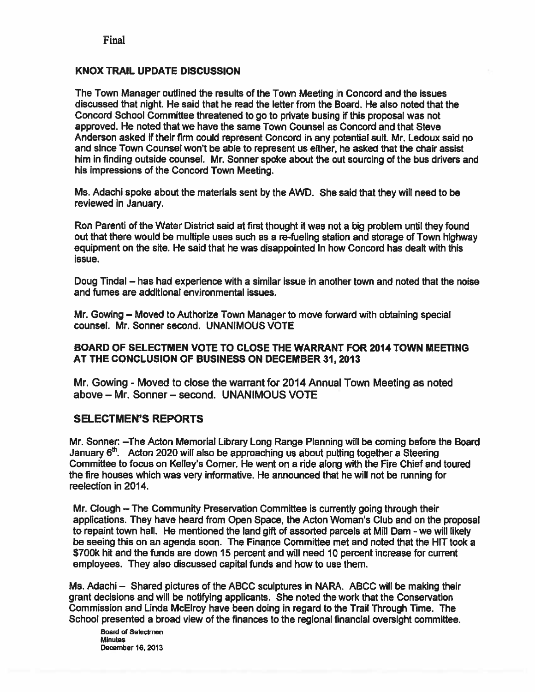#### KNOX TRAIL UPDATE DISCUSSION

The Town Manager outlined the results of the Town Meeting in Concord and the issues discussed that night. He said that he read the letter from the Board. He also noted that the Concord School Committee threatened to go to private busing if this proposa<sup>l</sup> was not approved. He noted that we have the same Town Counsel as Concord and that Steve Anderson asked if their firm could represen<sup>t</sup> Concord in any potential suit. Mr. Ledoux said no and since Town Counsel won't be able to represen<sup>t</sup> us either, he asked that the chair assist him in finding outside counsel. Mr. Sonner spoke about the out sourcing of the bus drivers and his impressions of the Concord Town Meeting.

Ms. Adachi spoke about the materials sent by the AWD. She said that they will need to be reviewed in January.

Ron Parenti of the Water District said at first thought it was not <sup>a</sup> big problem until they found out that there would be multiple uses such as <sup>a</sup> re-fueling station and storage of Town highway equipment on the site. He said that he was disappointed in how Concord has dealt with this issue.

Doug Tindal — has had experience with <sup>a</sup> similar issue in another town and noted that the noise and fumes are additional environmental issues.

Mr. Gowing — Moved to Authorize Town Manager to move forward with obtaining special counsel. Mr. Sonner second. UNANIMOUS VOTE

#### BOARD OF SELECTMEN VOTE TO CLOSE THE WARRANT FOR 2014 TOWN MEETING AT THE CONCLUSION OF BUSINESS ON DECEMBER 31, 2013

Mr. Gowing - Moved to close the warrant for 2014 Annual Town Meeting as noted above — Mr. Sonner — second. UNANIMOUS VOTE

#### SELECTMEN'S REPORTS

Mr. Sonner: —The Acton Memorial Library Long Range Planning will be coming before the Board January  $6<sup>th</sup>$ . Acton 2020 will also be approaching us about putting together a Steering Committee to focus on Kelley's Corner. He went on <sup>a</sup> ride along with the Fire Chief and toured the fire houses which was very informative. He announced that he will not be running for reelection in 2014.

Mr. Clough — The Community Preservation Committee is currently going through their applications. They have heard from Open Space, the Acton Woman's Club and on the proposal to repaint town hall. He mentioned the land gift of assorted parcels at Mill Dam - we will likely be seeing this on an agenda soon. The Finance Committee met and noted that the HIT took <sup>a</sup> \$700k hit and the funds are down 15 percen<sup>t</sup> and will need 10 percen<sup>t</sup> increase for current employees. They also discussed capital funds and how to use them.

Ms. Adachi — Shared pictures of the ABCC sculptures in NARA. ABCC will be making their gran<sup>t</sup> decisions and will be notifying applicants. She noted the work that the Conservation Commission and Linda McElroy have been doing in regard to the Trail Through Time. The School presented <sup>a</sup> broad view of the finances to the regional financial oversight committee.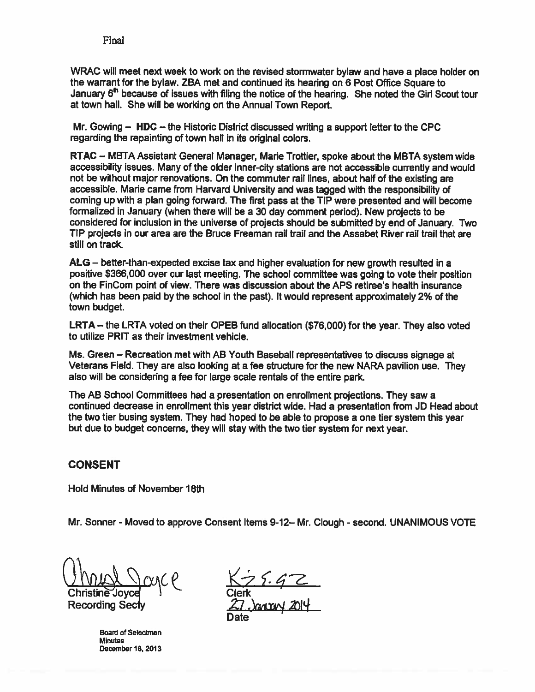WRAC will meet next week to work on the revised stormwater bylaw and have <sup>a</sup> <sup>p</sup>lace holder on the warrant for the bylaw. ZBA met and continued its hearing on <sup>6</sup> Post Office Square to January 6<sup>th</sup> because of issues with filing the notice of the hearing. She noted the Girl Scout tour at town hail. She will be working on the Annual Town Report.

Mr. Gowing — HDC — the Historic District discussed writing <sup>a</sup> suppor<sup>t</sup> letter to the CPC regarding the repainting of town hall in its original colors.

RTAC — MBTA Assistant General Manager, Marie Trottier, spoke about the MBTA system wide accessibility issues. Many of the older inner-city stations are not accessible currently and would not be without major renovations. On the commuter rail lines, about half of the existing are accessible. Marie came from Harvard University and was tagged with the responsibility of coming up with <sup>a</sup> <sup>p</sup>lan going forward. The first pass at the TIP were presented and will become formalized in January (when there will be <sup>a</sup> 30 day comment period). New projects to be considered for inclusion in the universe of projects should be submitted by end of January. Two TIP projects in our area are the Bruce Freeman rail trail and the Assabet River rail trail that are still on track.

ALS — better-than-expected excise tax and higher evaluation for new growth resulted in <sup>a</sup> positive \$366,000 over our last meeting. The school committee was going to vote their position on the FinCom point of view. There was discussion about the APS retiree's health insurance (which has been paid by the school in the past). It would represen<sup>t</sup> approximately 2% of the town budget.

 $LRTA -$  the LRTA voted on their OPEB fund allocation (\$76,000) for the year. They also voted to utilize PRIT as their investment vehicle.

Ms. Green — Recreation met with AB Youth Baseball representatives to discuss signage at Veterans Field. They are also looking at <sup>a</sup> fee structure for the new NARA pavilion use. They also will be considering <sup>a</sup> fee for large scale rentals of the entire park.

The AB School Committees had <sup>a</sup> presentation on enrollment projections. They saw <sup>a</sup> continued decrease in enrollment this year district wide. Had <sup>a</sup> presentation from JO Head about the two tier busing system. They had hoped to be able to propose <sup>a</sup> one tier system this year but due to budget concerns, they will stay with the two tier system for next year.

### CONSENT

Hold Minutes of November 18th

Mr. Sonner - Moved to approve Consent Items 9-12– Mr. Clough - second. UNANIMOUS VOTE

Christine Joyce | Clerk Recording Secty

Board of Selectmen **Minutes** December 16, 2013

Date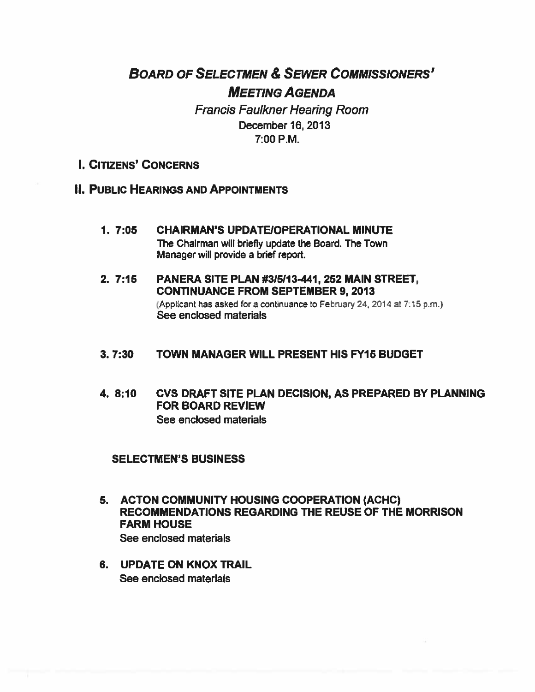# BOARD OF SELECTMEN & SEWER COMMISSIONERS' MEETING AGENDA

Francis Faulkner Hearing Room December 16, 2013 7:00 P.M.

# I. CITIZENS' CONCERNS

# II. PUBLIC HEARINGS AND APPOINTMENTS

- 1. 7:05 CHAIRMAN'S UPDATEIOPERATIONAL MINUTE The Chairman will briefly update the Board. The Town Manager will provide <sup>a</sup> brief report.
- 2. 7:15 PANERA SITE PLAN #315113-441, 252 MAIN STREET, CONTINUANCE FROM SEPTEMBER 9, 2013 (Applicant has asked for a continuance to February 24, 2014 at 7:15 p.m.) See enclosed materials

#### 3.7:30 TOWN MANAGER WILL PRESENT HIS FY15 BUDGET

4. 8:10 CVS DRAFT SITE PLAN DECISION, AS PREPARED BY PLANNING FOR BOARD REVIEW See enclosed materials

#### SELECTMEN'S BUSINESS

- 5. ACTON COMMUNITY HOUSING COOPERATION (ACHC) RECOMMENDATIONS REGARDING THE REUSE OF THE MORRISON FARM HOUSE See enclosed materials
- 6. UPDATE ON KNOX TRAIL See enclosed materials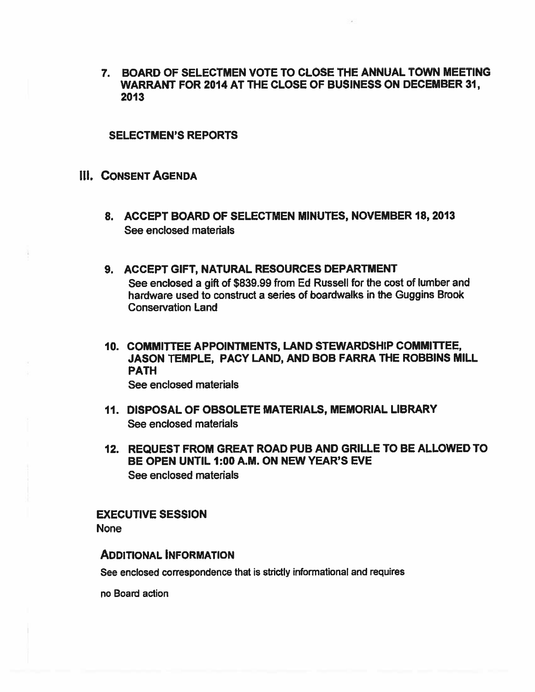7. BOARD OF SELECTMEN VOTE TO CLOSE THE ANNUAL TOWN MEETING WARRANT FOR 2014 AT THE CLOSE OF BUSINESS ON DECEMBER 31 2013

#### SELECTMEN'S REPORTS

### III. CONSENT AGENDA

- 8. ACCEPT BOARD OF SELECTMEN MINUTES, NOVEMBER 18, 2013 See enclosed materials
- 9. ACCEPT GIFT, NATURAL RESOURCES DEPARTMENT See enclosed <sup>a</sup> gift of \$839.99 from Ed Russell for the cost of lumber and hardware used to construct <sup>a</sup> series of boardwalks in the Guggins Brook Conservation Land
- 10. COMMITTEE APPOINTMENTS, LAND STEWARDSHIP COMMITTEE, JASON TEMPLE, PACY LAND, AND BOB FARRA THE ROBBINS MILL PATH See enclosed materials
- 11. DISPOSAL OF OBSOLETE MATERIALS, MEMORIAL LIBRARY See enclosed materials
- 12. REQUEST FROM GREAT ROAD PUB AND GRILLE TO BE ALLOWED TO BE OPEN UNTIL 1:00 A.M. ON NEW YEAR'S EVE See enclosed materials

#### EXECUTIVE SESSION

None

#### ADDITIONAL INFORMATION

See enclosed correspondence that is strictly informational and requires

no Board action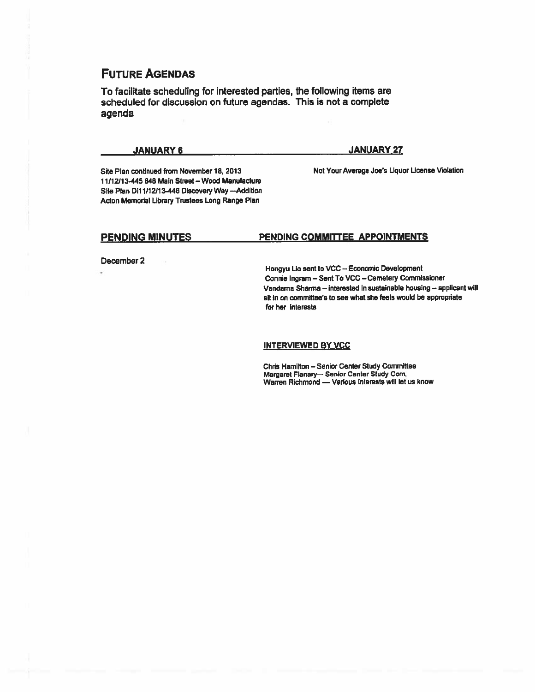# FUTURE AGENDAS

To facilitate scheduling for interested parties, the following items are scheduled for discussion on future agendas. This is not <sup>a</sup> complete agenda

JANUARY 6 JANUARY 27

Site Plan continued from November 18, 2013 Not Your Average Joe's Liquor License Violation 11/12)13-445 848 Math Street — Wood Manufacture Site Plan 0111/12113-446 DIscovery Way —Addition Acton Memorial Library Trustees Long Range Plan

#### PENDING MINUTES PENDING COMMITTEE APPOINTMENTS

December 2

Hongyu Lio sent to VCC - Economic Development Connie Ingram — Sent To VCC — Cemetery Commissioner Vandama Sharma — interested in sustainable housing — applicant will sit in on committee's to see what she feels would be appropriate for her Interests

INTERVIEWED BY VCC

Chris Hamilton — Senior Center Study Committee Margaret Flanary— Senior Center Study Corn. Warren Richmond — Various Interests will let us know